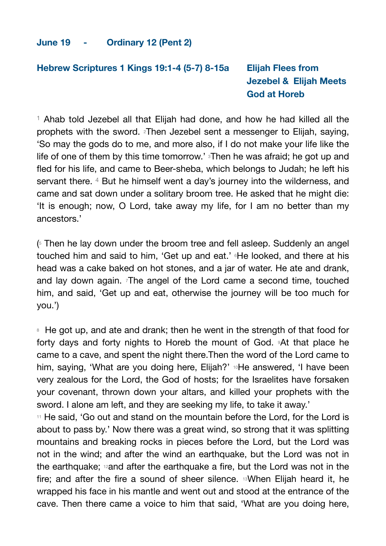### **Hebrew Scriptures 1 Kings 19:1-4 (5-7) 8-15a Elijah Flees from Jezebel & Elijah Meets God at Horeb**

<sup>1</sup> Ahab told Jezebel all that Elijah had done, and how he had killed all the prophets with the sword. 2Then Jezebel sent a messenger to Elijah, saying, 'So may the gods do to me, and more also, if I do not make your life like the life of one of them by this time tomorrow.' Then he was afraid; he got up and fled for his life, and came to Beer-sheba, which belongs to Judah; he left his servant there. 4 But he himself went a day's journey into the wilderness, and came and sat down under a solitary broom tree. He asked that he might die: 'It is enough; now, O Lord, take away my life, for I am no better than my ancestors.'

(5 Then he lay down under the broom tree and fell asleep. Suddenly an angel touched him and said to him, 'Get up and eat.' 6He looked, and there at his head was a cake baked on hot stones, and a jar of water. He ate and drank, and lay down again. The angel of the Lord came a second time, touched him, and said, 'Get up and eat, otherwise the journey will be too much for you.')

<sup>8</sup> He got up, and ate and drank; then he went in the strength of that food for forty days and forty nights to Horeb the mount of God. 9At that place he came to a cave, and spent the night there.Then the word of the Lord came to him, saying, 'What are you doing here, Elijah?' <sup>10</sup>He answered, 'I have been very zealous for the Lord, the God of hosts; for the Israelites have forsaken your covenant, thrown down your altars, and killed your prophets with the sword. I alone am left, and they are seeking my life, to take it away.'

<sup>11</sup> He said, 'Go out and stand on the mountain before the Lord, for the Lord is about to pass by.' Now there was a great wind, so strong that it was splitting mountains and breaking rocks in pieces before the Lord, but the Lord was not in the wind; and after the wind an earthquake, but the Lord was not in the earthquake; 12and after the earthquake a fire, but the Lord was not in the fire; and after the fire a sound of sheer silence. 13When Elijah heard it, he wrapped his face in his mantle and went out and stood at the entrance of the cave. Then there came a voice to him that said, 'What are you doing here,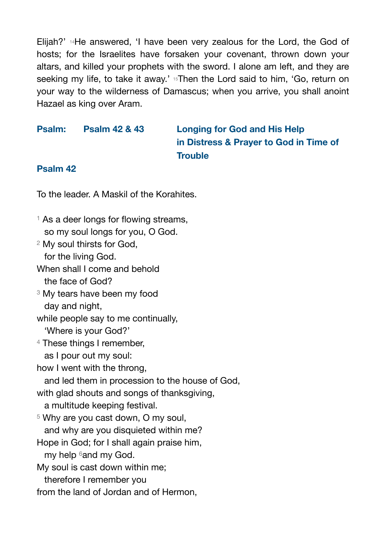Elijah?' 14He answered, 'I have been very zealous for the Lord, the God of hosts; for the Israelites have forsaken your covenant, thrown down your altars, and killed your prophets with the sword. I alone am left, and they are seeking my life, to take it away.' 15Then the Lord said to him, 'Go, return on your way to the wilderness of Damascus; when you arrive, you shall anoint Hazael as king over Aram.

## **Psalm: Psalm 42 & 43 Longing for God and His Help in Distress & Prayer to God in Time of Trouble**

### **Psalm 42**

To the leader. A Maskil of the Korahites.

- <sup>1</sup> As a deer longs for flowing streams, so my soul longs for you, O God.
- <sup>2</sup> My soul thirsts for God, for the living God.
- When shall I come and behold the face of God?
- <sup>3</sup> My tears have been my food day and night,
- while people say to me continually,
	- 'Where is your God?'
- <sup>4</sup> These things I remember,
	- as I pour out my soul:
- how I went with the throng,
- and led them in procession to the house of God,
- with glad shouts and songs of thanksgiving,
	- a multitude keeping festival.
- <sup>5</sup> Why are you cast down, O my soul,
	- and why are you disquieted within me?
- Hope in God; for I shall again praise him, my help 6and my God.
- My soul is cast down within me;
- therefore I remember you
- from the land of Jordan and of Hermon,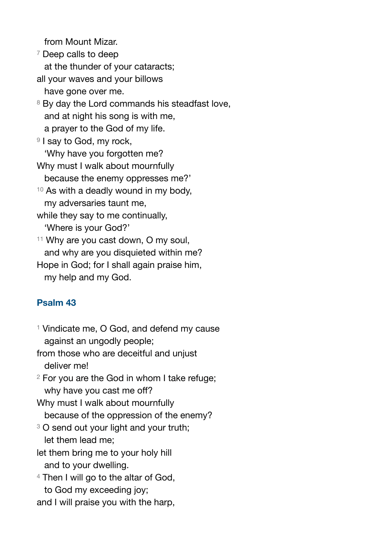from Mount Mizar.

- <sup>7</sup> Deep calls to deep at the thunder of your cataracts; all your waves and your billows have gone over me. <sup>8</sup> By day the Lord commands his steadfast love,
- and at night his song is with me, a prayer to the God of my life.
- <sup>9</sup> I say to God, my rock, 'Why have you forgotten me? Why must I walk about mournfully because the enemy oppresses me?'
- <sup>10</sup> As with a deadly wound in my body, my adversaries taunt me,
- while they say to me continually, 'Where is your God?'
- 11 Why are you cast down, O my soul, and why are you disquieted within me?
- Hope in God; for I shall again praise him, my help and my God.

# **Psalm 43**

- <sup>1</sup> Vindicate me, O God, and defend my cause against an ungodly people;
- from those who are deceitful and unjust deliver me!
- <sup>2</sup> For you are the God in whom I take refuge; why have you cast me off?
- Why must I walk about mournfully because of the oppression of the enemy?
- <sup>3</sup> O send out your light and your truth; let them lead me;
- let them bring me to your holy hill and to your dwelling.
- <sup>4</sup> Then I will go to the altar of God,
	- to God my exceeding joy;

and I will praise you with the harp,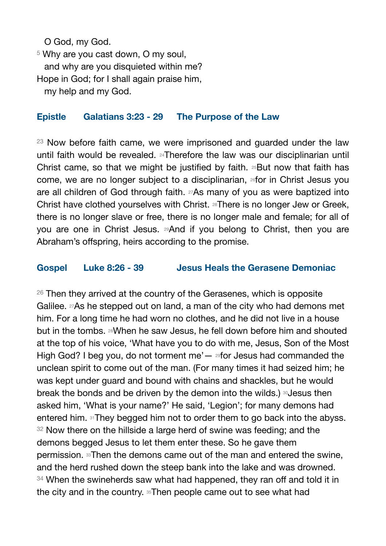O God, my God.

<sup>5</sup> Why are you cast down, O my soul. and why are you disquieted within me? Hope in God; for I shall again praise him, my help and my God.

#### **Epistle Galatians 3:23 - 29 The Purpose of the Law**

<sup>23</sup> Now before faith came, we were imprisoned and guarded under the law until faith would be revealed. 24Therefore the law was our disciplinarian until Christ came, so that we might be justified by faith. 25But now that faith has come, we are no longer subject to a disciplinarian, 26for in Christ Jesus you are all children of God through faith. 27As many of you as were baptized into Christ have clothed yourselves with Christ. 28There is no longer Jew or Greek, there is no longer slave or free, there is no longer male and female; for all of you are one in Christ Jesus. 29And if you belong to Christ, then you are Abraham's offspring, heirs according to the promise.

#### **Gospel Luke 8:26 - 39 Jesus Heals the Gerasene Demoniac**

 $26$  Then they arrived at the country of the Gerasenes, which is opposite Galilee. 27As he stepped out on land, a man of the city who had demons met him. For a long time he had worn no clothes, and he did not live in a house but in the tombs. 28When he saw Jesus, he fell down before him and shouted at the top of his voice, 'What have you to do with me, Jesus, Son of the Most High God? I beg you, do not torment me' $-$  29for Jesus had commanded the unclean spirit to come out of the man. (For many times it had seized him; he was kept under guard and bound with chains and shackles, but he would break the bonds and be driven by the demon into the wilds.) <sup>30</sup>Jesus then asked him, 'What is your name?' He said, 'Legion'; for many demons had entered him. 31They begged him not to order them to go back into the abyss. <sup>32</sup> Now there on the hillside a large herd of swine was feeding; and the demons begged Jesus to let them enter these. So he gave them permission. 33Then the demons came out of the man and entered the swine, and the herd rushed down the steep bank into the lake and was drowned. <sup>34</sup> When the swineherds saw what had happened, they ran off and told it in the city and in the country. 35Then people came out to see what had